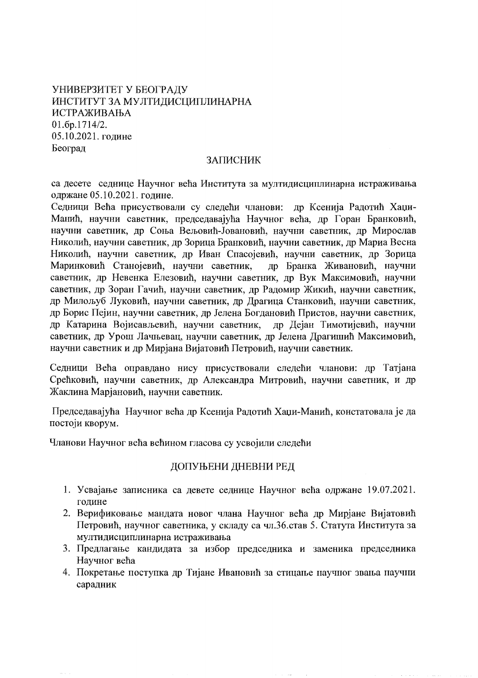УНИВЕРЗИТЕТ У БЕОГРАДУ ИНСТИТУТ ЗА МУЛТИДИСЦИПЛИНАРНА ИСТРАЖИВАЊА 01.6p.1714/2. 05.10.2021. године Београд

### **ЗАПИСНИК**

са десете седнице Научног већа Института за мултидисциплинарна истраживања одржане 05.10.2021. године.

Седници Већа присуствовали су следећи чланови: др Ксенија Радотић Хаџи-Манић, научни саветник, председавајућа Научног већа, др Горан Бранковић, научни саветник, др Соња Вељовић-Јовановић, научни саветник, др Мирослав Николић, научни саветник, др Зорица Бранковић, научни саветник, др Мариа Весна Николић, научни саветник, др Иван Спасојевић, научни саветник, др Зорица Маринковић Станојевић, научни саветник, др Бранка Живановић, научни саветник, др Невенка Елезовић, научни саветник, др Вук Максимовић, научни саветник, др Зоран Гачић, научни саветник, др Радомир Жикић, научни саветник, др Милољуб Луковић, научни саветник, др Драгица Станковић, научни саветник, др Борис Пејин, научни саветник, др Јелена Богдановић Пристов, научни саветник, др Катарина Војисављевић, научни саветник, др Дејан Тимотијевић, научни саветник, др Урош Лачњевац, научни саветник, др Јелена Драгишић Максимовић, научни саветник и др Мирјана Вијатовић Петровић, научни саветник.

Седници Већа оправдано нису присуствовали следећи чланови: др Татјана Срећковић, научни саветник, др Александра Митровић, научни саветник, и др Жаклина Маріановић, научни саветник.

Председавајућа Научног већа др Ксенија Радотић Хаџи-Манић, констатовала је да постоји кворум.

Чланови Научног већа већином гласова су усвојили следећи

# ДОПУЊЕНИ ДНЕВНИ РЕД

- 1. Усвајање записника са девете седнице Научног већа одржане 19.07.2021. голине
- 2. Верификовање мандата новог члана Научног већа др Мирјане Вијатовић Петровић, научног саветника, у складу са чл.36. став 5. Статута Института за мултидисциплинарна истраживања
- 3. Предлагање кандидата за избор председника и заменика председника Научног већа
- 4. Покретање поступка др Тијане Ивановић за стицање научног звања научни сарадник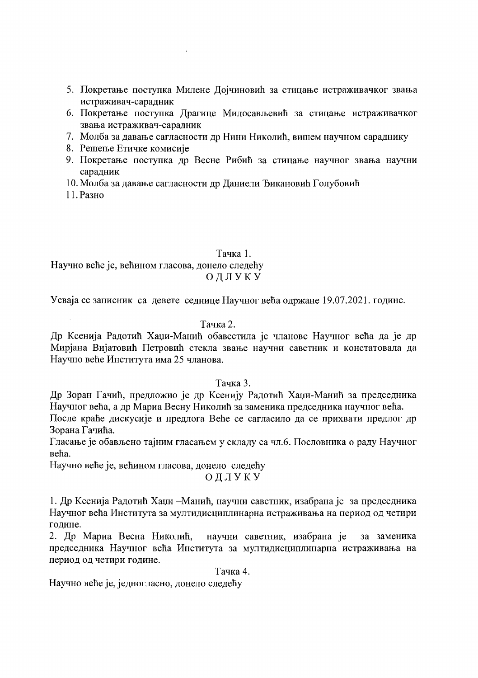- 5. Покретање поступка Милене Дојчиновић за стицање истраживачког звања истраживач-сарадник
- 6. Покретање поступка Драгице Милосављевић за стицање истраживачког звања истраживач-сарадник
- 7. Молба за давање сагласности др Нини Николић, вишем научном сараднику
- 8. Решење Етичке комисије
- 9. Покретање поступка др Весне Рибић за стицање научног звања научни сарадник
- 10. Молба за давање сагласности др Даниели Ђикановић Голубовић

 $\sim 100$ 

11. Разно

### Тачка 1. Научно веће је, већином гласова, донело следећу ОДЛУКУ

Усваја се записник са девете седнице Научног већа одржане 19.07.2021. године.

### Тачка 2.

Др Ксенија Радотић Хаџи-Манић обавестила је чланове Научног већа да је др Мирјана Вијатовић Петровић стекла звање научни саветник и констатовала да Научно веће Института има 25 чланова.

## Тачка 3.

Др Зоран Гачић, предложио је др Ксенију Радотић Хаџи-Манић за председника Научног већа, а др Мариа Весну Николић за заменика председника научног већа.

После краће дискусије и предлога Веће се сагласило да се прихвати предлог др Зорана Гачића.

Гласање је обављено тајним гласањем у складу са чл.6. Пословника о раду Научног већа.

Научно веће је, већином гласова, донело следећу

#### ОДЛУКУ

1. Др Ксенија Радотић Хаџи – Манић, научни саветник, изабрана је за председника Научног већа Института за мултидисциплинарна истраживања на период од четири године.

2. Др Мариа Весна Николић, научни саветник, изабрана је за заменика председника Научног већа Института за мултидисциплинарна истраживања на период од четири године.

Тачка 4.

Научно веће је, једногласно, донело следећу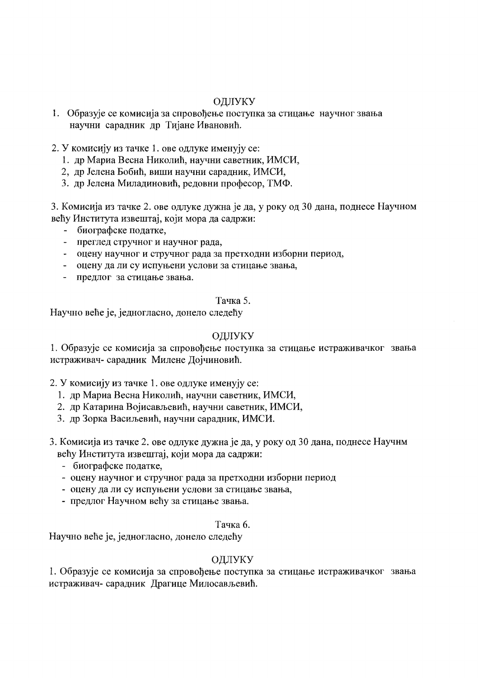# ОДЛУКУ

- 1. Образује се комисија за спровођење поступка за стицање научног звања научни сарадник др Тијане Ивановић.
- 2. У комисију из тачке 1. ове одлуке именују се:
	- 1. др Мариа Весна Николић, научни саветник, ИМСИ,
	- 2, др Јелена Бобић, виши научни сарадник, ИМСИ,
	- 3. др Јелена Миладиновић, редовни професор, ТМФ.

3. Комисија из тачке 2. ове одлуке дужна је да, у року од 30 дана, поднесе Научном већу Института извештај, који мора да садржи:

- биографске податке,
- преглед стручног и научног рада,
- оцену научног и стручног рада за претходни изборни период,
- оцену да ли су испуњени услови за стицање звања,
- предлог за стицање звања.

### Тачка 5.

Научно веће је, једногласно, донело следећу

# ОДЛУКУ

1. Образује се комисија за спровођење поступка за стицање истраживачког звања истраживач- сарадник Милене Дојчиновић.

# 2. У комисију из тачке 1. ове одлуке именују се:

- 1. др Мариа Весна Николић, научни саветник, ИМСИ,
- 2. др Катарина Војисављевић, научни саветник, ИМСИ,
- 3. др Зорка Васиљевић, научни сарадник, ИМСИ.
- 3. Комисија из тачке 2. ове одлуке дужна је да, у року од 30 дана, поднесе Научнм већу Института извештај, који мора да садржи:
	- биографске податке.
	- оцену научног и стручног рада за претходни изборни период
	- оцену да ли су испуњени услови за стицање звања,
	- предлог Научном већу за стицање звања.

# Тачка б.

Научно веће је, једногласно, донело следећу

# ОДЛУКУ

1. Образује се комисија за спровођење поступка за стицање истраживачког звања истраживач- сарадник Драгице Милосављевић.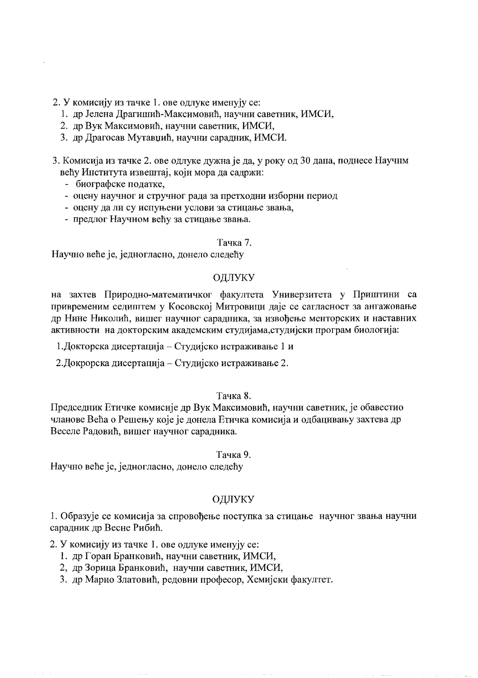2. У комисију из тачке 1. ове одлуке именују се:

- 1. др Јелена Драгишић-Максимовић, научни саветник, ИМСИ,
- 2. др Вук Максимовић, научни саветник, ИМСИ,
- 3. др Драгосав Мутавџић, научни сарадник, ИМСИ.
- 3. Комисија из тачке 2. ове одлуке дужна је да, у року од 30 дана, поднесе Научнм већу Института извештај, који мора да садржи:
	- биографске податке,
	- оцену научног и стручног рада за претходни изборни период
	- оцену да ли су испуњени услови за стицање звања,
	- предлог Научном већу за стицање звања.

# Тачка 7.

Научно веће је, једногласно, донело следећу

#### ОДЛУКУ

на захтев Природно-математичког факултета Универзитета у Приштини са привременим седиштем у Косовској Митровици даје се сагласност за ангажовање др Нине Николић, вишег научног сарадника, за извођење менторских и наставних активности на докторским академским студијама, студијски програм биологија:

1. Докторска дисертација – Студијско истраживање 1 и

2. Докрорска дисертација – Студијско истраживање 2.

#### Тачка 8.

Председник Етичке комисије др Вук Максимовић, научни саветник, је обавестио чланове Већа о Решењу које је донела Етичка комисија и одбацивању захтева др Веселе Радовић, вишег научног сарадника.

#### Тачка 9.

Научно веће је, једногласно, донело следећу

#### ОДЛУКУ

1. Образује се комисија за спровођење поступка за стицање научног звања научни сарадник др Весне Рибић.

2. У комисију из тачке 1. ове одлуке именују се:

- 1. др Горан Бранковић, научни саветник, ИМСИ,
- 2, др Зорица Бранковић, научни саветник, ИМСИ,
- 3. др Марио Златовић, редовни професор, Хемијски факултет.